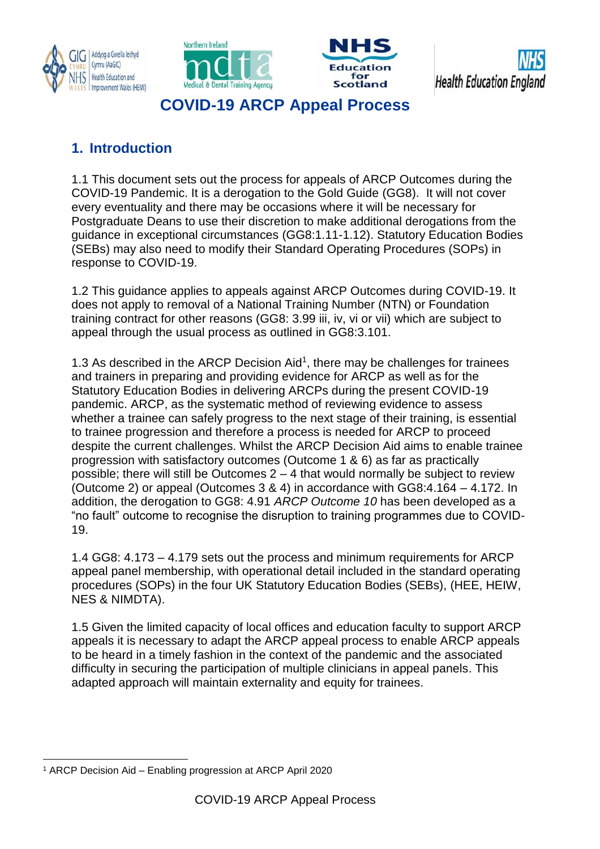







# **COVID-19 ARCP Appeal Process**

## **1. Introduction**

1.1 This document sets out the process for appeals of ARCP Outcomes during the COVID-19 Pandemic. It is a derogation to the Gold Guide (GG8). It will not cover every eventuality and there may be occasions where it will be necessary for Postgraduate Deans to use their discretion to make additional derogations from the guidance in exceptional circumstances (GG8:1.11-1.12). Statutory Education Bodies (SEBs) may also need to modify their Standard Operating Procedures (SOPs) in response to COVID-19.

1.2 This guidance applies to appeals against ARCP Outcomes during COVID-19. It does not apply to removal of a National Training Number (NTN) or Foundation training contract for other reasons (GG8: 3.99 iii, iv, vi or vii) which are subject to appeal through the usual process as outlined in GG8:3.101.

1.3 As described in the ARCP Decision Aid<sup>1</sup>, there may be challenges for trainees and trainers in preparing and providing evidence for ARCP as well as for the Statutory Education Bodies in delivering ARCPs during the present COVID-19 pandemic. ARCP, as the systematic method of reviewing evidence to assess whether a trainee can safely progress to the next stage of their training, is essential to trainee progression and therefore a process is needed for ARCP to proceed despite the current challenges. Whilst the ARCP Decision Aid aims to enable trainee progression with satisfactory outcomes (Outcome 1 & 6) as far as practically possible; there will still be Outcomes  $2 - 4$  that would normally be subject to review (Outcome 2) or appeal (Outcomes 3 & 4) in accordance with GG8:4.164 – 4.172. In addition, the derogation to GG8: 4.91 *ARCP Outcome 10* has been developed as a "no fault" outcome to recognise the disruption to training programmes due to COVID-19.

1.4 GG8: 4.173 – 4.179 sets out the process and minimum requirements for ARCP appeal panel membership, with operational detail included in the standard operating procedures (SOPs) in the four UK Statutory Education Bodies (SEBs), (HEE, HEIW, NES & NIMDTA).

1.5 Given the limited capacity of local offices and education faculty to support ARCP appeals it is necessary to adapt the ARCP appeal process to enable ARCP appeals to be heard in a timely fashion in the context of the pandemic and the associated difficulty in securing the participation of multiple clinicians in appeal panels. This adapted approach will maintain externality and equity for trainees.

l <sup>1</sup> ARCP Decision Aid – Enabling progression at ARCP April 2020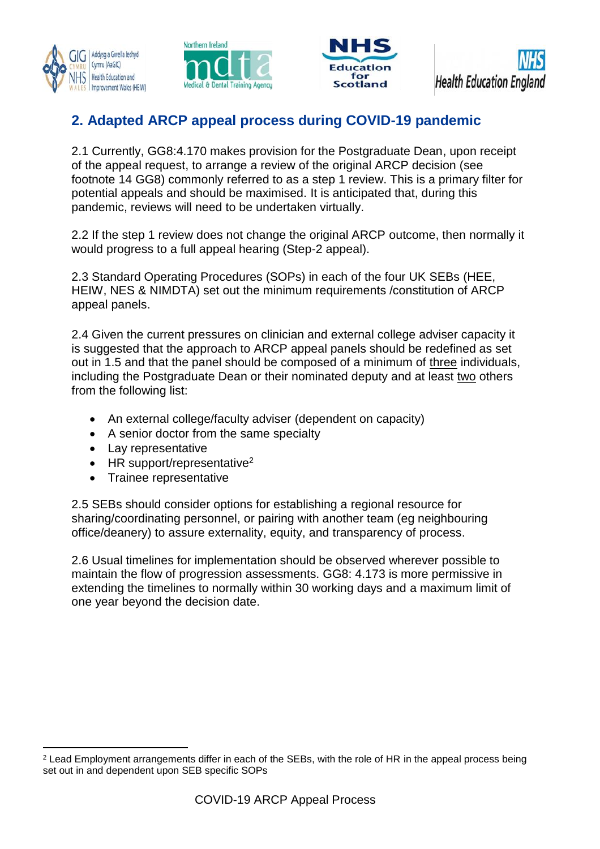







### **2. Adapted ARCP appeal process during COVID-19 pandemic**

2.1 Currently, GG8:4.170 makes provision for the Postgraduate Dean, upon receipt of the appeal request, to arrange a review of the original ARCP decision (see footnote 14 GG8) commonly referred to as a step 1 review. This is a primary filter for potential appeals and should be maximised. It is anticipated that, during this pandemic, reviews will need to be undertaken virtually.

2.2 If the step 1 review does not change the original ARCP outcome, then normally it would progress to a full appeal hearing (Step-2 appeal).

2.3 Standard Operating Procedures (SOPs) in each of the four UK SEBs (HEE, HEIW, NES & NIMDTA) set out the minimum requirements /constitution of ARCP appeal panels.

2.4 Given the current pressures on clinician and external college adviser capacity it is suggested that the approach to ARCP appeal panels should be redefined as set out in 1.5 and that the panel should be composed of a minimum of three individuals, including the Postgraduate Dean or their nominated deputy and at least two others from the following list:

- An external college/faculty adviser (dependent on capacity)
- A senior doctor from the same specialty
- Lay representative

l

- $\bullet$  HR support/representative<sup>2</sup>
- Trainee representative

2.5 SEBs should consider options for establishing a regional resource for sharing/coordinating personnel, or pairing with another team (eg neighbouring office/deanery) to assure externality, equity, and transparency of process.

2.6 Usual timelines for implementation should be observed wherever possible to maintain the flow of progression assessments. GG8: 4.173 is more permissive in extending the timelines to normally within 30 working days and a maximum limit of one year beyond the decision date.

<sup>&</sup>lt;sup>2</sup> Lead Employment arrangements differ in each of the SEBs, with the role of HR in the appeal process being set out in and dependent upon SEB specific SOPs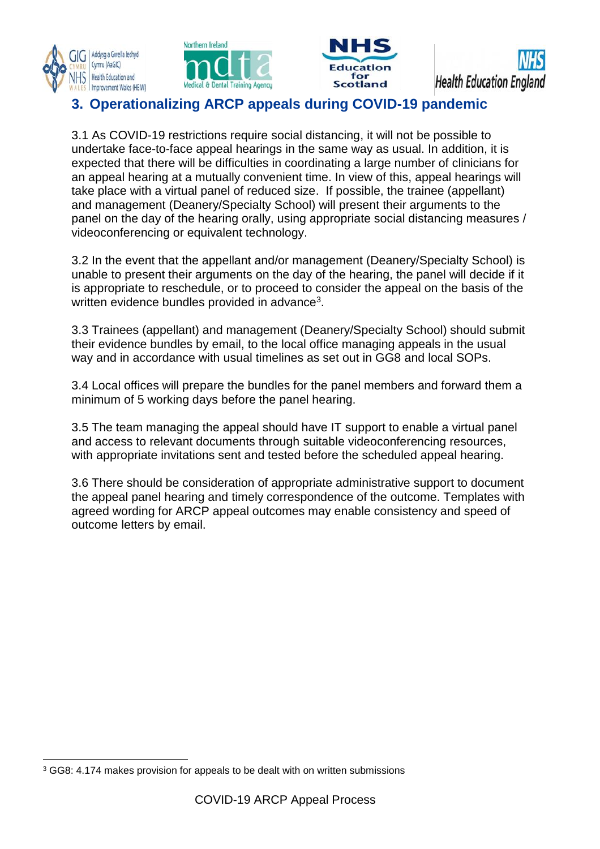







#### **3. Operationalizing ARCP appeals during COVID-19 pandemic**

3.1 As COVID-19 restrictions require social distancing, it will not be possible to undertake face-to-face appeal hearings in the same way as usual. In addition, it is expected that there will be difficulties in coordinating a large number of clinicians for an appeal hearing at a mutually convenient time. In view of this, appeal hearings will take place with a virtual panel of reduced size. If possible, the trainee (appellant) and management (Deanery/Specialty School) will present their arguments to the panel on the day of the hearing orally, using appropriate social distancing measures / videoconferencing or equivalent technology.

3.2 In the event that the appellant and/or management (Deanery/Specialty School) is unable to present their arguments on the day of the hearing, the panel will decide if it is appropriate to reschedule, or to proceed to consider the appeal on the basis of the written evidence bundles provided in advance $^3$ .

3.3 Trainees (appellant) and management (Deanery/Specialty School) should submit their evidence bundles by email, to the local office managing appeals in the usual way and in accordance with usual timelines as set out in GG8 and local SOPs.

3.4 Local offices will prepare the bundles for the panel members and forward them a minimum of 5 working days before the panel hearing.

3.5 The team managing the appeal should have IT support to enable a virtual panel and access to relevant documents through suitable videoconferencing resources, with appropriate invitations sent and tested before the scheduled appeal hearing.

3.6 There should be consideration of appropriate administrative support to document the appeal panel hearing and timely correspondence of the outcome. Templates with agreed wording for ARCP appeal outcomes may enable consistency and speed of outcome letters by email.

l <sup>3</sup> GG8: 4.174 makes provision for appeals to be dealt with on written submissions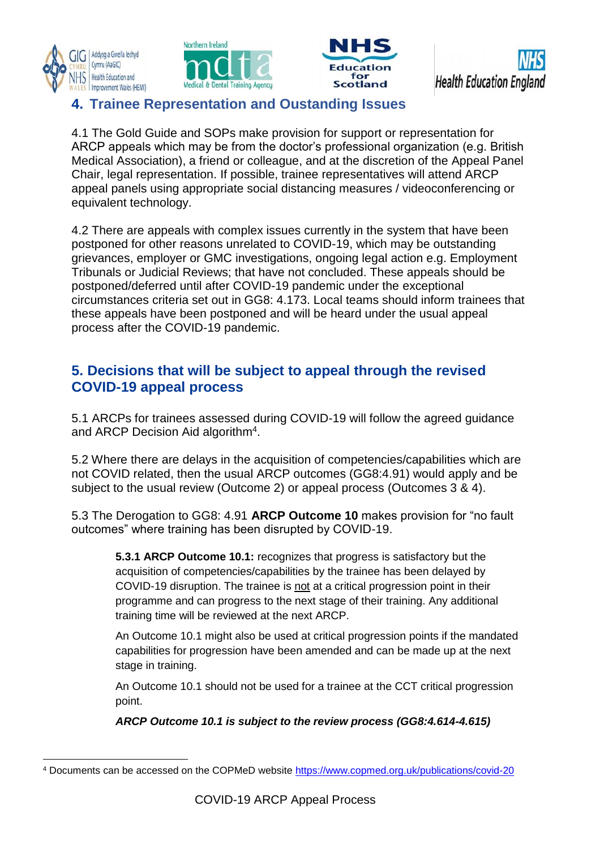







#### **4. Trainee Representation and Oustanding Issues**

4.1 The Gold Guide and SOPs make provision for support or representation for ARCP appeals which may be from the doctor's professional organization (e.g. British Medical Association), a friend or colleague, and at the discretion of the Appeal Panel Chair, legal representation. If possible, trainee representatives will attend ARCP appeal panels using appropriate social distancing measures / videoconferencing or equivalent technology.

4.2 There are appeals with complex issues currently in the system that have been postponed for other reasons unrelated to COVID-19, which may be outstanding grievances, employer or GMC investigations, ongoing legal action e.g. Employment Tribunals or Judicial Reviews; that have not concluded. These appeals should be postponed/deferred until after COVID-19 pandemic under the exceptional circumstances criteria set out in GG8: 4.173. Local teams should inform trainees that these appeals have been postponed and will be heard under the usual appeal process after the COVID-19 pandemic.

#### **5. Decisions that will be subject to appeal through the revised COVID-19 appeal process**

5.1 ARCPs for trainees assessed during COVID-19 will follow the agreed guidance and ARCP Decision Aid algorithm<sup>4</sup>.

5.2 Where there are delays in the acquisition of competencies/capabilities which are not COVID related, then the usual ARCP outcomes (GG8:4.91) would apply and be subject to the usual review (Outcome 2) or appeal process (Outcomes 3 & 4).

5.3 The Derogation to GG8: 4.91 **ARCP Outcome 10** makes provision for "no fault outcomes" where training has been disrupted by COVID-19.

**5.3.1 ARCP Outcome 10.1:** recognizes that progress is satisfactory but the acquisition of competencies/capabilities by the trainee has been delayed by COVID-19 disruption. The trainee is not at a critical progression point in their programme and can progress to the next stage of their training. Any additional training time will be reviewed at the next ARCP.

An Outcome 10.1 might also be used at critical progression points if the mandated capabilities for progression have been amended and can be made up at the next stage in training.

An Outcome 10.1 should not be used for a trainee at the CCT critical progression point.

*ARCP Outcome 10.1 is subject to the review process (GG8:4.614-4.615)* 

l <sup>4</sup> Documents can be accessed on the COPMeD website [https://www.copmed.org.uk/publications/covid-20](https://protect-eu.mimecast.com/s/EV9JCGMontJDJ2gfK6DpG?domain=copmed.org.uk)